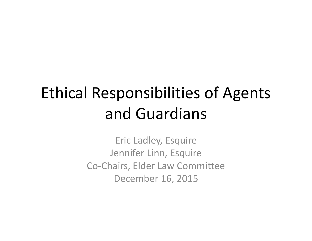# Ethical Responsibilities of Agents and Guardians

Eric Ladley, Esquire Jennifer Linn, Esquire Co‐Chairs, Elder Law Committee December 16, 2015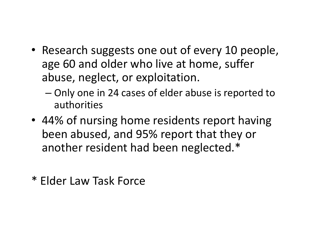- Research suggests one out of every 10 people, age 60 and older who live at home, suffer abuse, neglect, or exploitation.
	- – Only one in 24 cases of elder abuse is reported to authorities
- 44% of nursing home residents report having been abused, and 95% report that they or another resident had been neglected.\*
- \* Elder Law Task Force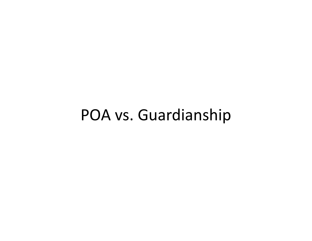#### POA vs. Guardianship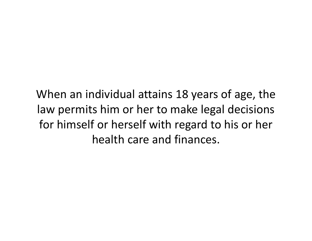When an individual attains 18 years of age, the law permits him or her to make legal decisions for himself or herself with regard to his or her health care and finances.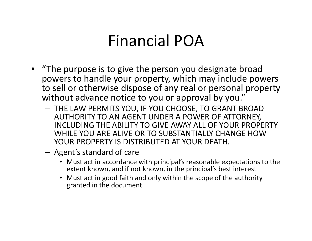#### Financial POA

- "The purpose is to give the person you designate broad powers to handle your property, which may include powers to sell or otherwise dispose of any real or personal property without advance notice to you or approval by you."
	- THE LAW PERMITS YOU, IF YOU CHOOSE, TO GRANT BROAD AUTHORITY TO AN AGENT UNDER A POWER OF ATTORNEY, INCLUDING THE ABILITY TO GIVE AWAY ALL OF YOUR PROPERTY WHILE YOU ARE ALIVE OR TO SUBSTANTIALLY CHANGE HOW YOUR PROPERTY IS DISTRIBUTED AT YOUR DEATH.
	- – Agent's standard of care
		- Must act in accordance with principal's reasonable expectations to the extent known, and if not known, in the principal's best interest
		- Must act in good faith and only within the scope of the authority granted in the document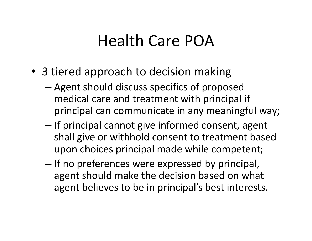#### Health Care POA

- 3 tiered approach to decision making
	- – Agent should discuss specifics of proposed medical care and treatment with principal if principal can communicate in any meaningful way;
	- –- If principal cannot give informed consent, agent shall give or withhold consent to treatment based upon choices principal made while competent;
	- –– If no preferences were expressed by principal, agent should make the decision based on what agent believes to be in principal's best interests.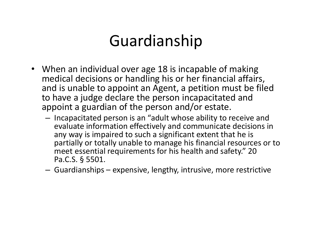### Guardianship

- When an individual over age 18 is incapable of making medical decisions or handling his or her financial affairs, and is unable to appoint an Agent, a petition must be filed to have a judge declare the person incapacitated and appoint a guardian of the person and/or estate.
	- – $-$  Incapacitated person is an "adult whose ability to receive and evaluate information effectively and communicate decisions in any way is impaired to such a significant extent that he is partially or totally unable to manage his financial resources or to meet essential requirements for his health and safety." 20 Pa.C.S. § 5501.
	- –Guardianships – expensive, lengthy, intrusive, more restrictive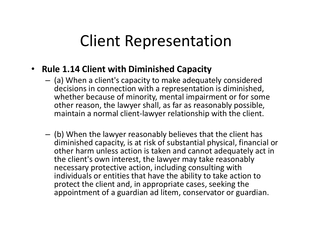#### Client Representation

- **Rule 1.14 Client with Diminished Capacity**
	- – $-$  (a) When a client's capacity to make adequately considered decisions in connection with a representation is diminished, whether because of minority, mental impairment or for some other reason, the lawyer shall, as far as reasonably possible, maintain a normal client‐lawyer relationship with the client.
	- – (b) When the lawyer reasonably believes that the client has diminished capacity, is at risk of substantial physical, financial or other harm unless action is taken and cannot adequately act in the client's own interest, the lawyer may take reasonably necessary protective action, including consulting with individuals or entities that have the ability to take action to protect the client and, in appropriate cases, seeking the appointment of a guardian ad litem, conservator or guardian.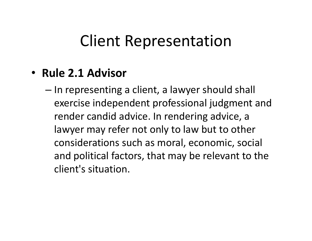#### Client Representation

#### • **Rule 2.1 Advisor**

– $-$  In representing a client, a lawyer should shall exercise independent professional judgment and render candid advice. In rendering advice, a lawyer may refer not only to law but to other considerations such as moral, economic, social and political factors, that may be relevant to the client's situation.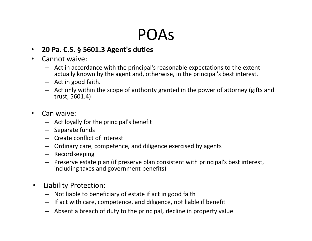#### POAs

#### $\bullet$ **20 Pa. C.S. § 5601.3 Agent's duties**

#### •Cannot waive:

- Act in accordance with the principal's reasonable expectations to the extent actually known by the agent and, otherwise, in the principal's best interest.
- Act in good faith.
- Act only within the scope of authority granted in the power of attorney (gifts and trust, 5601.4)
- • Can waive:
	- Act loyally for the principal's benefit
	- Separate funds
	- Create conflict of interest
	- Ordinary care, competence, and diligence exercised by agents
	- Recordkeeping
	- Preserve estate plan (if preserve plan consistent with principal's best interest, including taxes and government benefits)
- • Liability Protection:
	- Not liable to beneficiary of estate if act in good faith
	- If act with care, competence, and diligence, not liable if benefit
	- Absent a breach of duty to the principal, decline in property value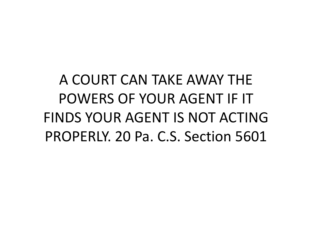A COURT CAN TAKE AWAY THE POWERS OF YOUR AGENT IF IT FINDS YOUR AGENT IS NOT ACTING PROPERLY. 20 Pa. C.S. Section 5601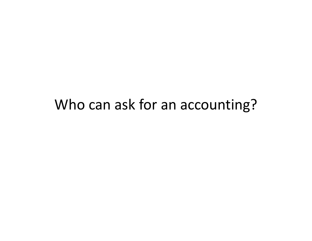#### Who can ask for an accounting?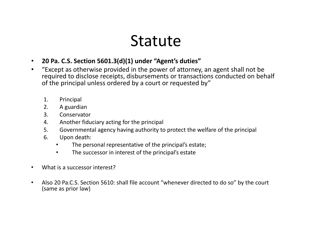#### Statute

- $\bullet$ **20 Pa. C.S. Section 5601.3(d)(1) under "Agent's duties"**
- $\bullet$  "Except as otherwise provided in the power of attorney, an agent shall not be required to disclose receipts, disbursements or transactions conducted on behalf of the principal unless ordered by a court or requested by"
	- 1. Principal
	- 2. A guardian
	- 3. Conservator
	- 4. Another fiduciary acting for the principal
	- 5. Governmental agency having authority to protect the welfare of the principal
	- 6. Upon death:
		- •The personal representative of the principal's estate;
		- •The successor in interest of the principal's estate
- •What is a successor interest?
- • Also 20 Pa.C.S. Section 5610: shall file account "whenever directed to do so" by the court (same as prior law)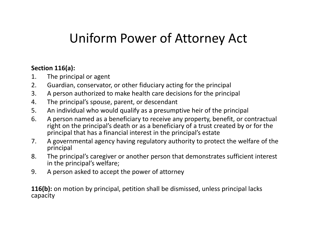#### Uniform Power of Attorney Act

#### **Section 116(a):**

- 1. The principal or agent
- 2. Guardian, conservator, or other fiduciary acting for the principal
- 3. A person authorized to make health care decisions for the principal
- 4. The principal's spouse, parent, or descendant
- 5. An individual who would qualify as a presumptive heir of the principal
- 6. A person named as a beneficiary to receive any property, benefit, or contractual right on the principal's death or as a beneficiary of a trust created by or for the principal that has a financial interest in the principal's estate
- 7. A governmental agency having regulatory authority to protect the welfare of the principal
- 8. The principal's caregiver or another person that demonstrates sufficient interest in the principal's welfare;
- 9. A person asked to accept the power of attorney

**116(b):** on motion by principal, petition shall be dismissed, unless principal lacks capacity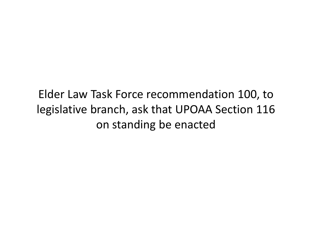#### Elder Law Task Force recommendation 100, to legislative branch, ask that UPOAA Section 116 on standing be enacted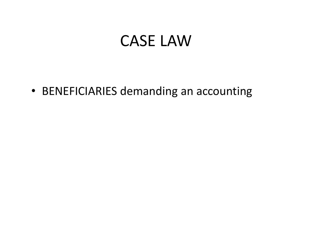#### CASE LAW

• BENEFICIARIES demanding an accounting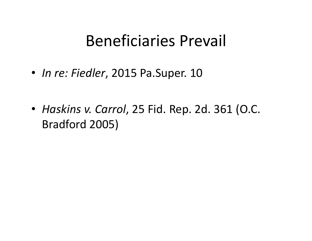#### Beneficiaries Prevail

- *In re: Fiedler*, 2015 Pa.Super. 10
- *Haskins v. Carrol*, 25 Fid. Rep. 2d. 361 (O.C. Bradford 2005)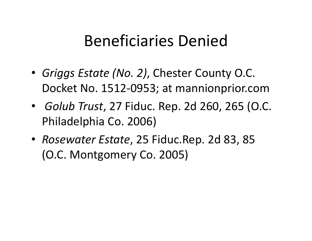#### Beneficiaries Denied

- *Griggs Estate (No. 2)*, Chester County O.C. Docket No. 1512‐0953; at mannionprior.com
- *Golub Trust*, 27 Fiduc. Rep. 2d 260, 265 (O.C. Philadelphia Co. 2006)
- *Rosewater Estate*, 25 Fiduc.Rep. 2d 83, 85 (O.C. Montgomery Co. 2005)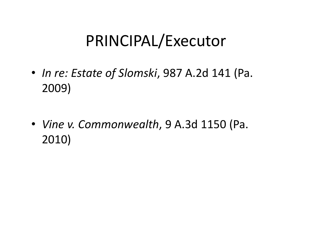### PRINCIPAL/Executor

- *In re: Estate of Slomski*, 987 A.2d 141 (Pa. 2009)
- *Vine v. Commonwealth*, 9 A.3d 1150 (Pa. 2010)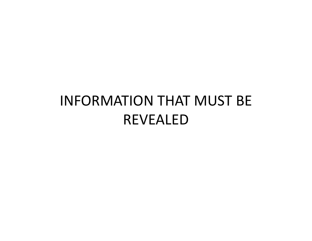#### INFORMATION THAT MUST BE REVEALED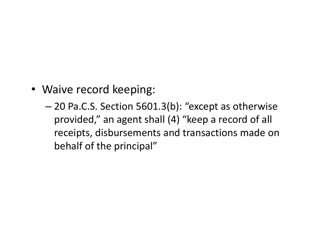- Waive record keeping:
	- – 20 Pa.C.S. Section 5601.3(b): "except as otherwise provided," an agent shall (4) "keep a record of all receipts, disbursements and transactions made on behalf of the principal"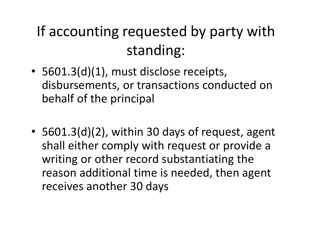## If accounting requested by party with standing:

- 5601.3(d)(1), must disclose receipts, disbursements, or transactions conducted on behalf of the principal
- 5601.3(d)(2), within 30 days of request, agent shall either comply with request or provide a writing or other record substantiating the reason additional time is needed, then agent receives another 30 days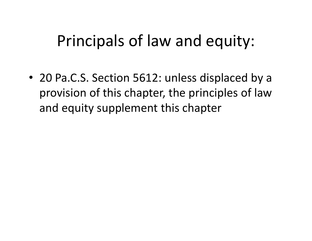### Principals of law and equity:

• 20 Pa.C.S. Section 5612: unless displaced by a provision of this chapter, the principles of law and equity supplement this chapter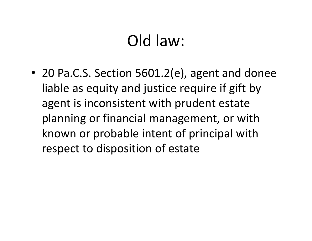## Old law:

• 20 Pa.C.S. Section 5601.2(e), agent and donee liable as equity and justice require if gift by agent is inconsistent with prudent estate planning or financial management, or with known or probable intent of principal with respect to disposition of estate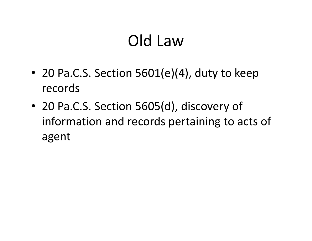## Old Law

- 20 Pa.C.S. Section 5601(e)(4), duty to keep records
- 20 Pa.C.S. Section 5605(d), discovery of information and records pertaining to acts of agent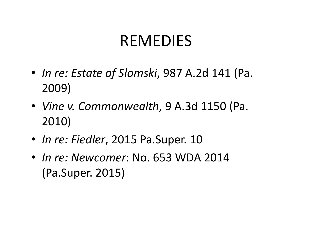### REMEDIES

- *In re: Estate of Slomski*, 987 A.2d 141 (Pa. 2009)
- *Vine v. Commonwealth*, 9 A.3d 1150 (Pa. 2010)
- *In re: Fiedler*, 2015 Pa.Super. 10
- *In re: Newcomer*: No. 653 WDA 2014 (Pa.Super. 2015)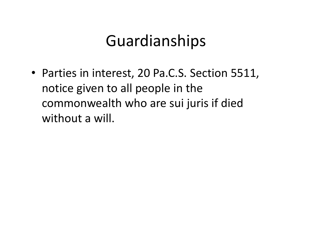#### Guardianships

• Parties in interest, 20 Pa.C.S. Section 5511, notice given to all people in the commonwealth who are sui juris if died without a will.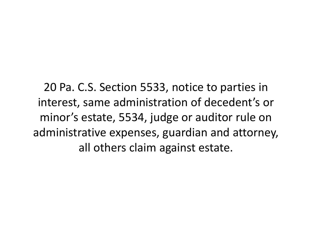20 Pa. C.S. Section 5533, notice to parties in interest, same administration of decedent's or minor's estate, 5534, judge or auditor rule on administrative expenses, guardian and attorney, all others claim against estate.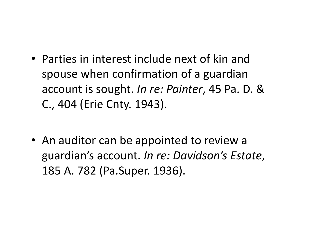- Parties in interest include next of kin and spouse when confirmation of a guardian account is sought. *In re: Painter*, 45 Pa. D. & C., 404 (Erie Cnty. 1943).
- An auditor can be appointed to review a guardian's account. *In re: Davidson's Estate*, 185 A. 782 (Pa.Super. 1936).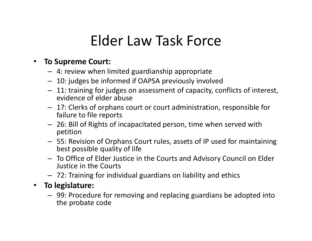#### Elder Law Task Force

#### •**To Supreme Court:**

- 4: review when limited guardianship appropriate
- 10: judges be informed if OAPSA previously involved
- 11: training for judges on assessment of capacity, conflicts of interest, evidence of elder abuse
- 17: Clerks of orphans court or court administration, responsible for failure to file reports
- 26: Bill of Rights of incapacitated person, time when served with petition
- 55: Revision of Orphans Court rules, assets of IP used for maintaining best possible quality of life
- To Office of Elder Justice in the Courts and Advisory Council on Elder Justice in the Courts
- 72: Training for individual guardians on liability and ethics
- $\bullet$  **To legislature:**
	- 99: Procedure for removing and replacing guardians be adopted into the probate code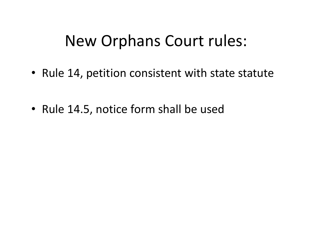#### New Orphans Court rules:

- Rule 14, petition consistent with state statute
- Rule 14.5, notice form shall be used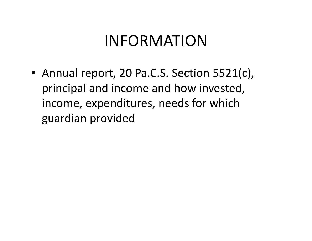### INFORMATION

• Annual report, 20 Pa.C.S. Section 5521(c), principal and income and how invested, income, expenditures, needs for which guardian provided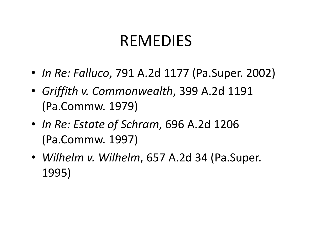#### REMEDIES

- *In Re: Falluco*, 791 A.2d 1177 (Pa.Super. 2002)
- *Griffith v. Commonwealth*, 399 A.2d 1191 (Pa.Commw. 1979)
- *In Re: Estate of Schram*, 696 A.2d 1206 (Pa.Commw. 1997)
- *Wilhelm v. Wilhelm*, 657 A.2d 34 (Pa.Super. 1995)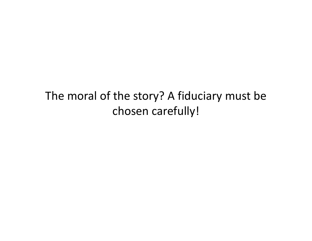#### The moral of the story? A fiduciary must be chosen carefully!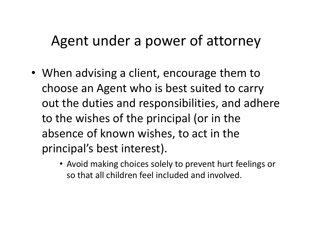#### Agent under a power of attorney

- When advising a client, encourage them to choose an Agent who is best suited to carry out the duties and responsibilities, and adhere to the wishes of the principal (or in the absence of known wishes, to act in the principal's best interest).
	- Avoid making choices solely to prevent hurt feelings or so that all children feel included and involved.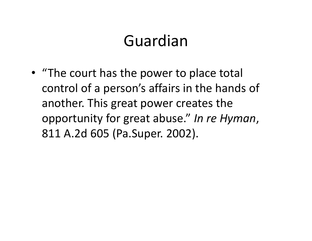## Guardian

• "The court has the power to place total control of a person's affairs in the hands of another. This great power creates the opportunity for great abuse." *In re Hyman*, 811 A.2d 605 (Pa.Super. 2002).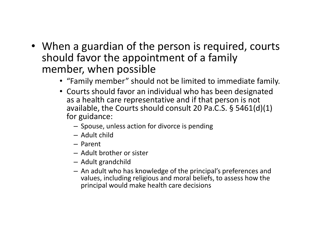- When a guardian of the person is required, courts should favor the appointment of a family member, when possible
	- "Family member" should not be limited to immediate family.
	- Courts should favor an individual who has been designated as a health care representative and if that person is not available, the Courts should consult 20 Pa.C.S. § 5461(d)(1) for guidance:
		- Spouse, unless action for divorce is pending
		- Adult child
		- Parent
		- Adult brother or sister
		- Adult grandchild
		- An adult who has knowledge of the principal's preferences and values, including religious and moral beliefs, to assess how the principal would make health care decisions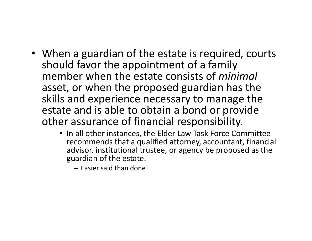- When a guardian of the estate is required, courts should favor the appointment of a family member when the estate consists of *minimal* asset, or when the proposed guardian has the skills and experience necessary to manage the estate and is able to obtain a bond or provide other assurance of financial responsibility.
	- In all other instances, the Elder Law Task Force Committee recommends that a qualified attorney, accountant, financial advisor, institutional trustee, or agency be proposed as the guardian of the estate.

– Easier said than done!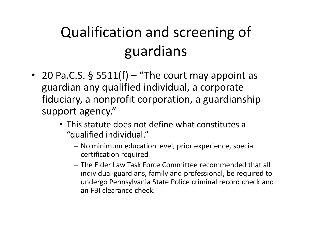## Qualification and screening of guardians

- 20 Pa.C.S. § 5511(f) "The court may appoint as guardian any qualified individual, a corporate fiduciary, a nonprofit corporation, a guardianship support agency."
	- This statute does not define what constitutes a "qualified individual."
		- No minimum education level, prior experience, special certification required
		- The Elder Law Task Force Committee recommended that all individual guardians, family and professional, be required to undergo Pennsylvania State Police criminal record check and an FBI clearance check.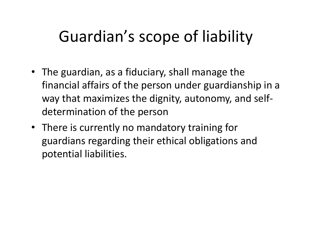## Guardian's scope of liability

- The guardian, as a fiduciary, shall manage the financial affairs of the person under guardianship in a way that maximizes the dignity, autonomy, and self‐ determination of the person
- There is currently no mandatory training for guardians regarding their ethical obligations and potential liabilities.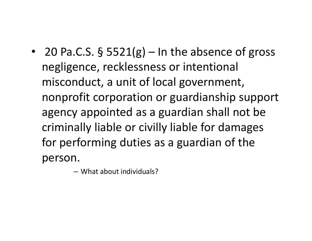• 20 Pa.C.S. § 5521(g) – In the absence of gross negligence, recklessness or intentional misconduct, a unit of local government, nonprofit corporation or guardianship support agency appointed as a guardian shall not be criminally liable or civilly liable for damages for performing duties as a guardian of the person.

– What about individuals?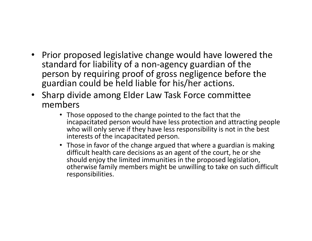- Prior proposed legislative change would have lowered the standard for liability of a non‐agency guardian of the person by requiring proof of gross negligence before the guardian could be held liable for his/her actions.
- Sharp divide among Elder Law Task Force committee members
	- Those opposed to the change pointed to the fact that the incapacitated person would have less protection and attracting people who will only serve if they have less responsibility is not in the best interests of the incapacitated person.
	- Those in favor of the change argued that where a guardian is making difficult health care decisions as an agent of the court, he or she should enjoy the limited immunities in the proposed legislation, otherwise family members might be unwilling to take on such difficult responsibilities.